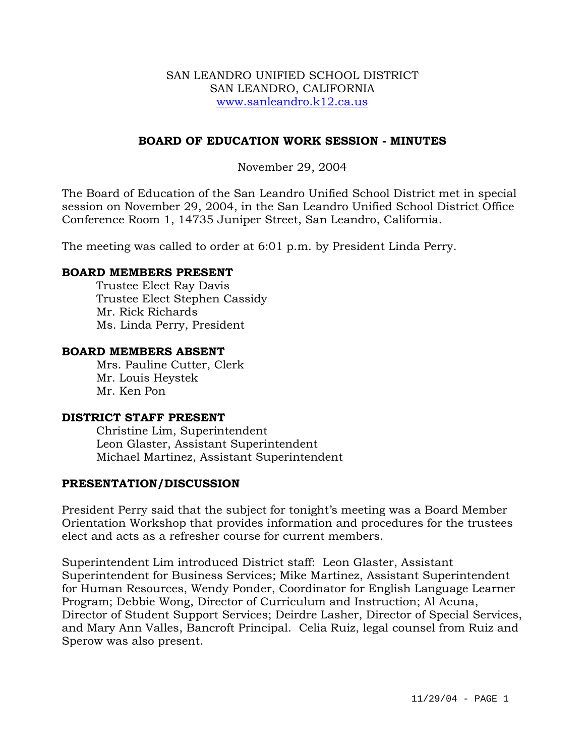#### SAN LEANDRO UNIFIED SCHOOL DISTRICT SAN LEANDRO, CALIFORNIA www.sanleandro.k12.ca.us

# **BOARD OF EDUCATION WORK SESSION - MINUTES**

November 29, 2004

The Board of Education of the San Leandro Unified School District met in special session on November 29, 2004, in the San Leandro Unified School District Office Conference Room 1, 14735 Juniper Street, San Leandro, California.

The meeting was called to order at 6:01 p.m. by President Linda Perry.

#### **BOARD MEMBERS PRESENT**

Trustee Elect Ray Davis Trustee Elect Stephen Cassidy Mr. Rick Richards Ms. Linda Perry, President

## **BOARD MEMBERS ABSENT**

Mrs. Pauline Cutter, Clerk Mr. Louis Heystek Mr. Ken Pon

#### **DISTRICT STAFF PRESENT**

Christine Lim, Superintendent Leon Glaster, Assistant Superintendent Michael Martinez, Assistant Superintendent

#### **PRESENTATION/DISCUSSION**

President Perry said that the subject for tonight's meeting was a Board Member Orientation Workshop that provides information and procedures for the trustees elect and acts as a refresher course for current members.

Superintendent Lim introduced District staff: Leon Glaster, Assistant Superintendent for Business Services; Mike Martinez, Assistant Superintendent for Human Resources, Wendy Ponder, Coordinator for English Language Learner Program; Debbie Wong, Director of Curriculum and Instruction; Al Acuna, Director of Student Support Services; Deirdre Lasher, Director of Special Services, and Mary Ann Valles, Bancroft Principal. Celia Ruiz, legal counsel from Ruiz and Sperow was also present.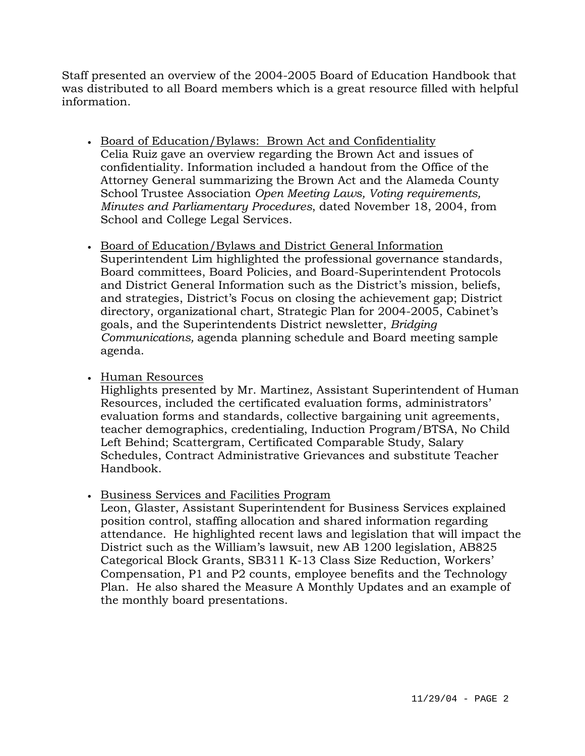Staff presented an overview of the 2004-2005 Board of Education Handbook that was distributed to all Board members which is a great resource filled with helpful information.

- Board of Education/Bylaws: Brown Act and Confidentiality Celia Ruiz gave an overview regarding the Brown Act and issues of confidentiality. Information included a handout from the Office of the Attorney General summarizing the Brown Act and the Alameda County School Trustee Association *Open Meeting Laws, Voting requirements, Minutes and Parliamentary Procedures*, dated November 18, 2004, from School and College Legal Services.
- Board of Education/Bylaws and District General Information Superintendent Lim highlighted the professional governance standards, Board committees, Board Policies, and Board-Superintendent Protocols and District General Information such as the District's mission, beliefs, and strategies, District's Focus on closing the achievement gap; District directory, organizational chart, Strategic Plan for 2004-2005, Cabinet's goals, and the Superintendents District newsletter, *Bridging Communications,* agenda planning schedule and Board meeting sample agenda.
- Human Resources

Highlights presented by Mr. Martinez, Assistant Superintendent of Human Resources, included the certificated evaluation forms, administrators' evaluation forms and standards, collective bargaining unit agreements, teacher demographics, credentialing, Induction Program/BTSA, No Child Left Behind; Scattergram, Certificated Comparable Study, Salary Schedules, Contract Administrative Grievances and substitute Teacher Handbook.

• Business Services and Facilities Program

Leon, Glaster, Assistant Superintendent for Business Services explained position control, staffing allocation and shared information regarding attendance. He highlighted recent laws and legislation that will impact the District such as the William's lawsuit, new AB 1200 legislation, AB825 Categorical Block Grants, SB311 K-13 Class Size Reduction, Workers' Compensation, P1 and P2 counts, employee benefits and the Technology Plan. He also shared the Measure A Monthly Updates and an example of the monthly board presentations.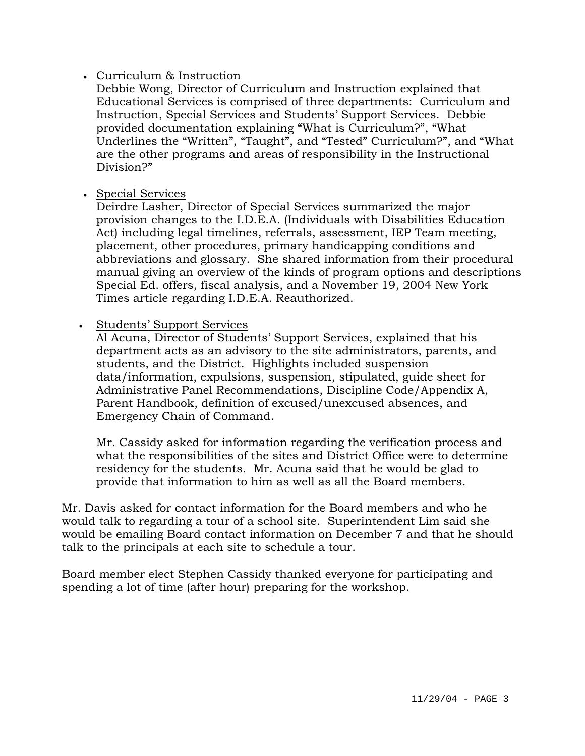# • Curriculum & Instruction

Debbie Wong, Director of Curriculum and Instruction explained that Educational Services is comprised of three departments: Curriculum and Instruction, Special Services and Students' Support Services. Debbie provided documentation explaining "What is Curriculum?", "What Underlines the "Written", "Taught", and "Tested" Curriculum?", and "What are the other programs and areas of responsibility in the Instructional Division?"

• Special Services

Deirdre Lasher, Director of Special Services summarized the major provision changes to the I.D.E.A. (Individuals with Disabilities Education Act) including legal timelines, referrals, assessment, IEP Team meeting, placement, other procedures, primary handicapping conditions and abbreviations and glossary. She shared information from their procedural manual giving an overview of the kinds of program options and descriptions Special Ed. offers, fiscal analysis, and a November 19, 2004 New York Times article regarding I.D.E.A. Reauthorized.

• Students' Support Services

Al Acuna, Director of Students' Support Services, explained that his department acts as an advisory to the site administrators, parents, and students, and the District. Highlights included suspension data/information, expulsions, suspension, stipulated, guide sheet for Administrative Panel Recommendations, Discipline Code/Appendix A, Parent Handbook, definition of excused/unexcused absences, and Emergency Chain of Command.

Mr. Cassidy asked for information regarding the verification process and what the responsibilities of the sites and District Office were to determine residency for the students. Mr. Acuna said that he would be glad to provide that information to him as well as all the Board members.

Mr. Davis asked for contact information for the Board members and who he would talk to regarding a tour of a school site. Superintendent Lim said she would be emailing Board contact information on December 7 and that he should talk to the principals at each site to schedule a tour.

Board member elect Stephen Cassidy thanked everyone for participating and spending a lot of time (after hour) preparing for the workshop.